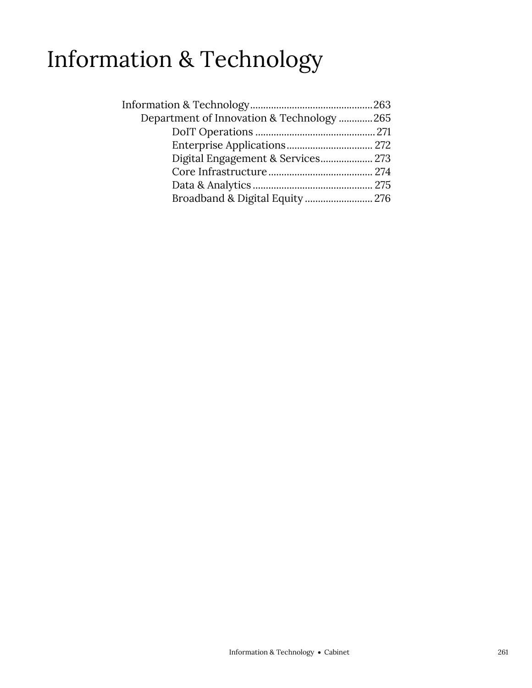## Information & Technology

| Department of Innovation & Technology 265 |  |
|-------------------------------------------|--|
|                                           |  |
|                                           |  |
|                                           |  |
|                                           |  |
|                                           |  |
| Broadband & Digital Equity  276           |  |
|                                           |  |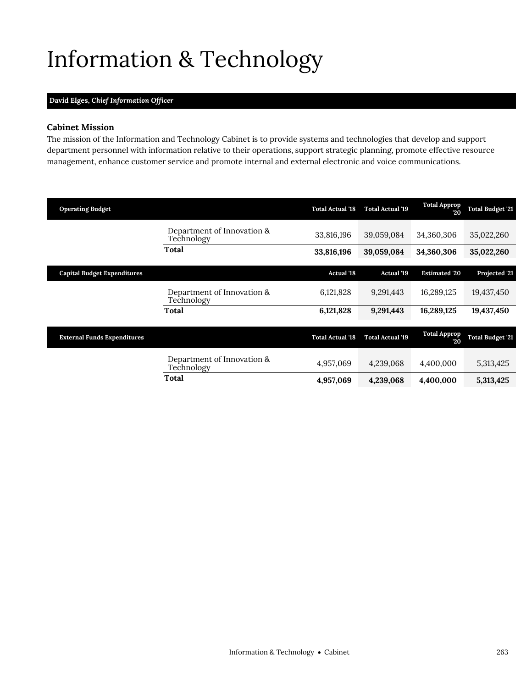# <span id="page-2-0"></span>Information & Technology

### **David Elges,** *Chief Information Officer*

### **Cabinet Mission**

The mission of the Information and Technology Cabinet is to provide systems and technologies that develop and support department personnel with information relative to their operations, support strategic planning, promote effective resource management, enhance customer service and promote internal and external electronic and voice communications.

| <b>Operating Budget</b>            |                                          | <b>Total Actual '18</b> | <b>Total Actual '19</b> | <b>Total Approp</b><br>20 | <b>Total Budget '21</b> |
|------------------------------------|------------------------------------------|-------------------------|-------------------------|---------------------------|-------------------------|
|                                    | Department of Innovation &<br>Technology | 33,816,196              | 39,059,084              | 34,360,306                | 35,022,260              |
|                                    | Total                                    | 33,816,196              | 39,059,084              | 34,360,306                | 35,022,260              |
| <b>Capital Budget Expenditures</b> |                                          | <b>Actual</b> '18       | <b>Actual</b> '19       | <b>Estimated '20</b>      | Projected '21           |
|                                    | Department of Innovation &<br>Technology | 6,121,828               | 9,291,443               | 16,289,125                | 19,437,450              |
|                                    | Total                                    | 6,121,828               | 9,291,443               | 16,289,125                | 19,437,450              |
| <b>External Funds Expenditures</b> |                                          | <b>Total Actual '18</b> | <b>Total Actual '19</b> | <b>Total Approp</b><br>20 | <b>Total Budget '21</b> |
|                                    | Department of Innovation &<br>Technology | 4,957,069               | 4,239,068               | 4,400,000                 | 5,313,425               |
|                                    | Total                                    | 4,957,069               | 4,239,068               | 4,400,000                 | 5,313,425               |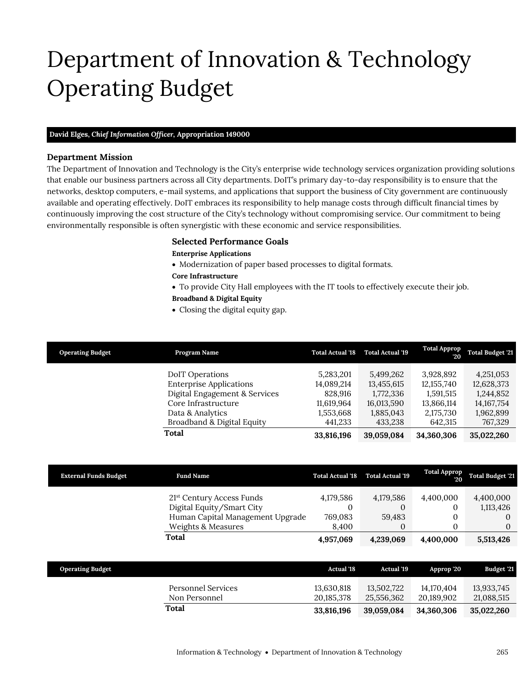# Department of Innovation & Technology Operating Budget

### **David Elges,** *Chief Information Officer,* **Appropriation 149000**

### **Department Mission**

Department of Innovation & Technology

The Department of Innovation and Technology is the City's enterprise wide technology services organization providing solutions that enable our business partners across all City departments. DoIT's primary day-to-day responsibility is to ensure that the networks, desktop computers, e-mail systems, and applications that support the business of City government are continuously available and operating effectively. DoIT embraces its responsibility to help manage costs through difficult financial times by continuously improving the cost structure of the City's technology without compromising service. Our commitment to being environmentally responsible is often synergistic with these economic and service responsibilities.

### <span id="page-4-0"></span>**Selected Performance Goals**

#### **Enterprise Applications**

- Modernization of paper based processes to digital formats.
- **Core Infrastructure**
- To provide City Hall employees with the IT tools to effectively execute their job.

### **Broadband & Digital Equity**

Closing the digital equity gap.

| <b>Operating Budget</b> | Program Name                   | <b>Total Actual '18</b> | <b>Total Actual '19</b> | <b>Total Approp</b><br>20 | <b>Total Budget '21</b> |
|-------------------------|--------------------------------|-------------------------|-------------------------|---------------------------|-------------------------|
|                         | <b>DoIT</b> Operations         | 5,283,201               | 5,499,262               | 3,928,892                 | 4,251,053               |
|                         | <b>Enterprise Applications</b> | 14,089,214              | 13,455,615              | 12, 155, 740              | 12,628,373              |
|                         | Digital Engagement & Services  | 828,916                 | 1,772,336               | 1,591,515                 | 1,244,852               |
|                         | Core Infrastructure            | 11,619,964              | 16,013,590              | 13,866,114                | 14, 167, 754            |
|                         | Data & Analytics               | 1,553,668               | 1,885,043               | 2,175,730                 | 1,962,899               |
|                         | Broadband & Digital Equity     | 441,233                 | 433,238                 | 642.315                   | 767,329                 |
|                         | Total                          | 33,816,196              | 39,059,084              | 34,360,306                | 35,022,260              |

| <b>External Funds Budget</b> | <b>Fund Name</b>                                              | <b>Total Actual '18</b> | <b>Total Actual '19</b> | <b>Total Approp</b><br>20 | <b>Total Budget '21</b> |
|------------------------------|---------------------------------------------------------------|-------------------------|-------------------------|---------------------------|-------------------------|
|                              | 21 <sup>st</sup> Century Access Funds                         | 4,179,586               | 4,179,586               | 4,400,000                 | 4,400,000               |
|                              | Digital Equity/Smart City<br>Human Capital Management Upgrade | 769,083                 | 0<br>59.483             |                           | 1,113,426               |
|                              | Weights & Measures                                            | 8.400                   |                         |                           |                         |
|                              | Total                                                         | 4,957,069               | 4,239,069               | 4,400,000                 | 5,513,426               |

| <b>Operating Budget</b> |                                     | <b>Actual</b> '18        | Actual '19               | Approp '20               | Budget '21               |
|-------------------------|-------------------------------------|--------------------------|--------------------------|--------------------------|--------------------------|
|                         | Personnel Services<br>Non Personnel | 13.630.818<br>20.185.378 | 13.502.722<br>25.556.362 | 14.170.404<br>20.189.902 | 13,933,745<br>21,088,515 |
|                         | Total                               | 33.816.196               | 39.059.084               | 34.360.306               | 35,022,260               |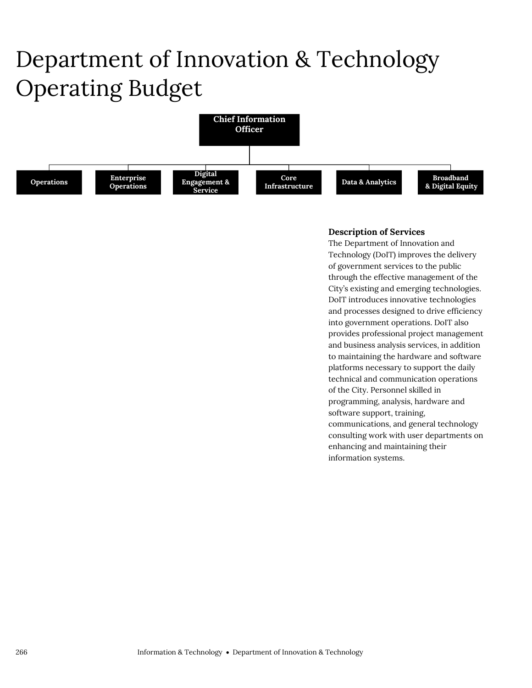# Department of Innovation & Technology Operating Budget



### **Description of Services**

The Department of Innovation and Technology (DoIT) improves the delivery of government services to the public through the effective management of the City's existing and emerging technologies. DoIT introduces innovative technologies and processes designed to drive efficiency into government operations. DoIT also provides professional project management and business analysis services, in addition to maintaining the hardware and software platforms necessary to support the daily technical and communication operations of the City. Personnel skilled in programming, analysis, hardware and software support, training, communications, and general technology consulting work with user departments on enhancing and maintaining their information systems.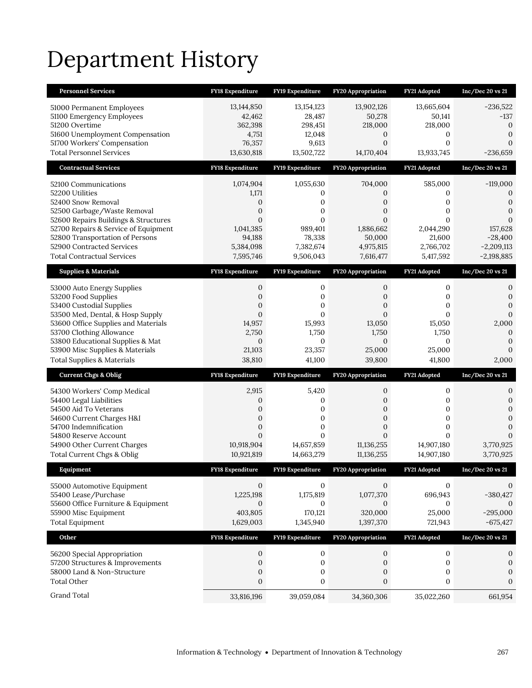# Department History

| <b>Personnel Services</b>                                                    | <b>FY18 Expenditure</b>     | FY19 Expenditure      | <b>FY20 Appropriation</b> | FY21 Adopted          | Inc/Dec 20 vs 21              |
|------------------------------------------------------------------------------|-----------------------------|-----------------------|---------------------------|-----------------------|-------------------------------|
| 51000 Permanent Employees                                                    | 13,144,850                  | 13, 154, 123          | 13,902,126                | 13,665,604            | $-236,522$                    |
| 51100 Emergency Employees                                                    | 42,462                      | 28,487                | 50,278                    | 50,141                | $-137$                        |
| 51200 Overtime                                                               | 362,398                     | 298,451               | 218,000                   | 218,000               | $\theta$                      |
| 51600 Unemployment Compensation                                              | 4,751                       | 12,048                | 0                         | 0                     | $\mathbf{0}$                  |
| 51700 Workers' Compensation                                                  | 76,357                      | 9,613                 | $\overline{0}$            | $\overline{0}$        | $\overline{0}$                |
| <b>Total Personnel Services</b>                                              | 13,630,818                  | 13,502,722            | 14,170,404                | 13,933,745            | $-236,659$                    |
| <b>Contractual Services</b>                                                  | FY18 Expenditure            | FY19 Expenditure      | FY20 Appropriation        | FY21 Adopted          | $Inc/Dec$ 20 vs $21$          |
| 52100 Communications                                                         | 1,074,904                   | 1,055,630             | 704,000                   | 585,000               | $-119,000$                    |
| 52200 Utilities                                                              | 1,171                       | 0                     | 0                         | 0                     | $\boldsymbol{0}$              |
| 52400 Snow Removal                                                           | 0                           | 0                     | 0                         | 0                     | $\mathbf{0}$                  |
| 52500 Garbage/Waste Removal                                                  | $\overline{0}$              | 0                     | $\overline{0}$            | 0                     | $\mathbf{0}$                  |
| 52600 Repairs Buildings & Structures<br>52700 Repairs & Service of Equipment | $\overline{0}$<br>1,041,385 | $\Omega$<br>989,401   | $\Omega$<br>1,886,662     | $\Omega$<br>2,044,290 | $\Omega$<br>157,628           |
| 52800 Transportation of Persons                                              | 94,188                      | 78,338                | 50,000                    | 21,600                | $-28,400$                     |
| 52900 Contracted Services                                                    | 5,384,098                   | 7,382,674             | 4,975,815                 | 2,766,702             | $-2,209,113$                  |
| <b>Total Contractual Services</b>                                            | 7,595,746                   | 9,506,043             | 7,616,477                 | 5,417,592             | $-2,198,885$                  |
| <b>Supplies &amp; Materials</b>                                              | <b>FY18 Expenditure</b>     | FY19 Expenditure      | <b>FY20 Appropriation</b> | FY21 Adopted          | Inc/Dec 20 vs 21              |
| 53000 Auto Energy Supplies                                                   | 0                           | 0                     | 0                         | 0                     | 0                             |
| 53200 Food Supplies                                                          | 0                           | 0                     | 0                         | 0                     | $\mathbf{0}$                  |
| 53400 Custodial Supplies                                                     | $\mathbf{0}$                | 0                     | $\mathbf{0}$              | 0                     | $\mathbf{0}$                  |
| 53500 Med, Dental, & Hosp Supply                                             | $\overline{0}$              | $\Omega$              | $\overline{0}$            | $\Omega$              | $\overline{0}$                |
| 53600 Office Supplies and Materials<br>53700 Clothing Allowance              | 14,957                      | 15,993                | 13,050                    | 15,050                | 2,000                         |
| 53800 Educational Supplies & Mat                                             | 2,750<br>$\overline{0}$     | 1,750<br>$\mathbf{0}$ | 1,750<br>$\mathbf{0}$     | 1,750<br>$\mathbf{0}$ | $\mathbf{0}$<br>$\mathbf{0}$  |
|                                                                              |                             |                       |                           |                       |                               |
|                                                                              |                             |                       |                           |                       | $\overline{0}$                |
| 53900 Misc Supplies & Materials<br><b>Total Supplies &amp; Materials</b>     | 21,103<br>38,810            | 23,357<br>41,100      | 25,000<br>39,800          | 25,000<br>41,800      | 2,000                         |
|                                                                              |                             |                       |                           |                       |                               |
| <b>Current Chgs &amp; Oblig</b>                                              | <b>FY18 Expenditure</b>     | FY19 Expenditure      | <b>FY20 Appropriation</b> | FY21 Adopted          | Inc/Dec 20 vs 21              |
| 54300 Workers' Comp Medical                                                  | 2,915                       | 5,420                 | 0                         | 0                     | 0                             |
| 54400 Legal Liabilities                                                      | 0                           | 0                     | 0                         | 0                     | $\mathbf{0}$                  |
| 54500 Aid To Veterans<br>54600 Current Charges H&I                           | 0<br>$\overline{0}$         | 0<br>0                | 0<br>$\overline{0}$       | 0<br>$\boldsymbol{0}$ | $\mathbf 0$<br>$\overline{0}$ |
| 54700 Indemnification                                                        | $\boldsymbol{0}$            | 0                     | $\boldsymbol{0}$          | 0                     | $\mathbf{0}$                  |
| 54800 Reserve Account                                                        | $\overline{0}$              | $\mathbf{0}$          | $\overline{0}$            | $\overline{0}$        | $\Omega$                      |
| 54900 Other Current Charges                                                  | 10,918,904                  | 14,657,859            | 11,136,255                | 14,907,180            | 3,770,925                     |
| Total Current Chgs & Oblig                                                   | 10,921,819                  | 14,663,279            | 11,136,255                | 14,907,180            | 3,770,925                     |
| Equipment                                                                    | <b>FY18 Expenditure</b>     | FY19 Expenditure      | <b>FY20 Appropriation</b> | FY21 Adopted          | Inc/Dec 20 vs 21              |
| 55000 Automotive Equipment                                                   | $\mathbf{0}$                | 0                     | $\mathbf{0}$              | 0                     | 0                             |
| 55400 Lease/Purchase                                                         | 1,225,198                   | 1,175,819             | 1,077,370                 | 696,943               | $-380,427$                    |
| 55600 Office Furniture & Equipment                                           | $\mathbf{0}$                | $\mathbf{0}$          | 0                         | $\mathbf{0}$          | $\mathbf{0}$                  |
| 55900 Misc Equipment                                                         | 403,805                     | 170,121               | 320,000                   | 25,000                | $-295,000$                    |
| <b>Total Equipment</b>                                                       | 1,629,003                   | 1,345,940             | 1,397,370                 | 721,943               | $-675,427$                    |
| Other                                                                        | FY18 Expenditure            | FY19 Expenditure      | FY20 Appropriation        | FY21 Adopted          | $Inc/Dec 20$ vs $21$          |
| 56200 Special Appropriation                                                  | 0                           | $\mathbf 0$           | 0                         | $\boldsymbol{0}$      | 0                             |
| 57200 Structures & Improvements                                              | $\boldsymbol{0}$            | $\boldsymbol{0}$      | $\boldsymbol{0}$          | $\boldsymbol{0}$      | $\mathbf{0}$                  |
| 58000 Land & Non-Structure                                                   | $\boldsymbol{0}$            | $\boldsymbol{0}$      | 0                         | $\boldsymbol{0}$      | $\boldsymbol{0}$              |
| <b>Total Other</b><br>Grand Total                                            | $\boldsymbol{0}$            | $\boldsymbol{0}$      | $\boldsymbol{0}$          | $\boldsymbol{0}$      | 0                             |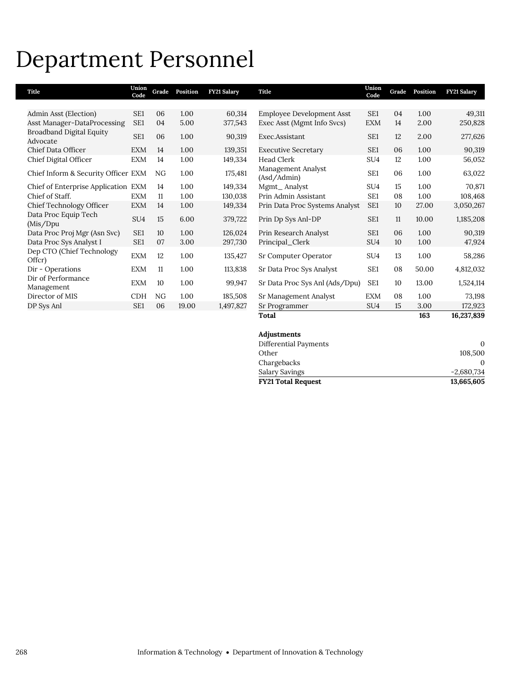## Department Personnel

| Title                                | Union<br>Code   |    | Grade Position | <b>FY21 Salary</b> | Title                             | Union<br>Code   | Grade | Position | <b>FY21 Salary</b> |
|--------------------------------------|-----------------|----|----------------|--------------------|-----------------------------------|-----------------|-------|----------|--------------------|
|                                      |                 |    |                |                    |                                   |                 |       |          |                    |
| Admin Asst (Election)                | SE <sub>1</sub> | 06 | 1.00           | 60,314             | <b>Employee Development Asst</b>  | SE1             | 04    | 1.00     | 49,311             |
| Asst Manager-DataProcessing          | SE <sub>1</sub> | 04 | 5.00           | 377,543            | Exec Asst (Mgmt Info Svcs)        | <b>EXM</b>      | 14    | 2.00     | 250,828            |
| Broadband Digital Equity<br>Advocate | SE1             | 06 | 1.00           | 90,319             | Exec.Assistant                    | SE <sub>1</sub> | 12    | 2.00     | 277,626            |
| Chief Data Officer                   | <b>EXM</b>      | 14 | 1.00           | 139,351            | <b>Executive Secretary</b>        | SE <sub>1</sub> | 06    | 1.00     | 90,319             |
| Chief Digital Officer                | <b>EXM</b>      | 14 | 1.00           | 149,334            | Head Clerk                        | SU <sub>4</sub> | 12    | 1.00     | 56,052             |
| Chief Inform & Security Officer EXM  |                 | NG | 1.00           | 175,481            | Management Analyst<br>(Asd/Admin) | SE <sub>1</sub> | 06    | 1.00     | 63,022             |
| Chief of Enterprise Application EXM  |                 | 14 | 1.00           | 149,334            | Mgmt_Analyst                      | SU <sub>4</sub> | 15    | 1.00     | 70,871             |
| Chief of Staff.                      | <b>EXM</b>      | 11 | 1.00           | 130,038            | Prin Admin Assistant              | SE1             | 08    | 1.00     | 108,468            |
| Chief Technology Officer             | <b>EXM</b>      | 14 | 1.00           | 149,334            | Prin Data Proc Systems Analyst    | SE <sub>1</sub> | 10    | 27.00    | 3,050,267          |
| Data Proc Equip Tech<br>(Mis/Dpu     | SU <sub>4</sub> | 15 | 6.00           | 379,722            | Prin Dp Sys Anl-DP                | SE1             | 11    | 10.00    | 1,185,208          |
| Data Proc Proj Mgr (Asn Svc)         | SE <sub>1</sub> | 10 | 1.00           | 126,024            | Prin Research Analyst             | SE <sub>1</sub> | 06    | 1.00     | 90,319             |
| Data Proc Sys Analyst I              | SE <sub>1</sub> | 07 | 3.00           | 297,730            | Principal_Clerk                   | SU <sub>4</sub> | 10    | 1.00     | 47,924             |
| Dep CTO (Chief Technology<br>Offer)  | <b>EXM</b>      | 12 | 1.00           | 135,427            | Sr Computer Operator              | SU <sub>4</sub> | 13    | 1.00     | 58,286             |
| Dir - Operations                     | <b>EXM</b>      | 11 | 1.00           | 113,838            | Sr Data Proc Sys Analyst          | SE1             | 08    | 50.00    | 4,812,032          |
| Dir of Performance<br>Management     | <b>EXM</b>      | 10 | 1.00           | 99,947             | Sr Data Proc Sys Anl (Ads/Dpu)    | SE <sub>1</sub> | 10    | 13.00    | 1,524,114          |
| Director of MIS                      | <b>CDH</b>      | NG | 1.00           | 185,508            | Sr Management Analyst             | <b>EXM</b>      | 08    | 1.00     | 73,198             |
| DP Sys Anl                           | SE1             | 06 | 19.00          | 1,497,827          | Sr Programmer                     | SU <sub>4</sub> | 15    | 3.00     | 172,923            |
|                                      |                 |    |                |                    | Total                             |                 |       | 163      | 16,237,839         |

| Adjustments               |              |
|---------------------------|--------------|
| Differential Payments     | 0            |
| Other                     | 108,500      |
| Chargebacks               |              |
| Salary Savings            | $-2.680.734$ |
| <b>FY21 Total Request</b> | 13,665,605   |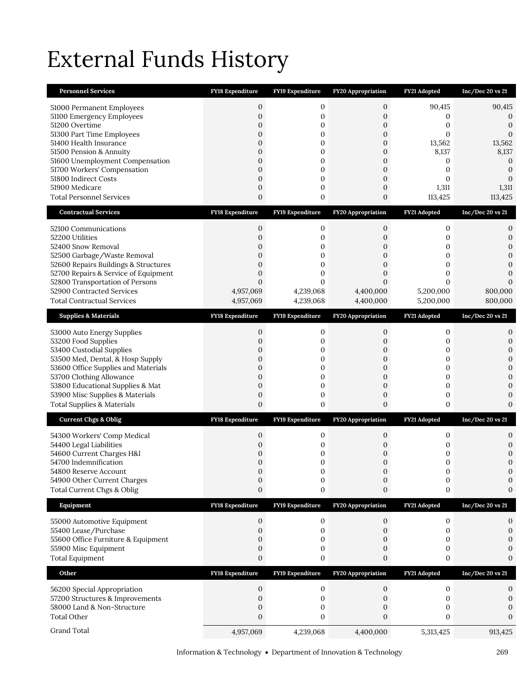# External Funds History

| <b>Personnel Services</b>                                               | FY18 Expenditure                 | FY19 Expenditure        | FY20 Appropriation        | FY21 Adopted          | $Inc/Dec 20$ vs $21$             |
|-------------------------------------------------------------------------|----------------------------------|-------------------------|---------------------------|-----------------------|----------------------------------|
| 51000 Permanent Employees                                               | 0                                | 0                       | 0                         | 90,415                | 90,415                           |
| 51100 Emergency Employees                                               | $\mathbf{0}$                     | 0                       | $\mathbf{0}$              | 0                     | $\mathbf 0$                      |
| 51200 Overtime                                                          | $\overline{0}$                   | 0                       | 0                         | 0                     | $\mathbf{0}$                     |
| 51300 Part Time Employees<br>51400 Health Insurance                     | $\overline{0}$<br>$\overline{0}$ | 0<br>$\mathbf{0}$       | 0<br>$\overline{0}$       | 0<br>13,562           | $\boldsymbol{0}$<br>13,562       |
| 51500 Pension & Annuity                                                 | $\mathbf{0}$                     | 0                       | 0                         | 8,137                 | 8,137                            |
| 51600 Unemployment Compensation                                         | $\mathbf{0}$                     | 0                       | $\boldsymbol{0}$          | $\mathbf{0}$          | $\mathbf{0}$                     |
| 51700 Workers' Compensation                                             | $\overline{0}$                   | 0                       | 0                         | 0                     | $\boldsymbol{0}$                 |
| 51800 Indirect Costs                                                    | $\mathbf{0}$                     | 0                       | $\mathbf{0}$              | 0                     | $\mathbf{0}$                     |
| 51900 Medicare<br><b>Total Personnel Services</b>                       | $\mathbf{0}$<br>0                | 0<br>0                  | 0<br>0                    | 1,311<br>113,425      | 1,311<br>113,425                 |
|                                                                         |                                  |                         |                           |                       |                                  |
| <b>Contractual Services</b>                                             | <b>FY18 Expenditure</b>          | <b>FY19 Expenditure</b> | <b>FY20 Appropriation</b> | FY21 Adopted          | $Inc/Dec$ 20 vs 21               |
| 52100 Communications                                                    | 0                                | 0                       | 0                         | $\mathbf{0}$          | 0                                |
| 52200 Utilities                                                         | $\overline{0}$                   | 0                       | 0                         | 0                     | $\boldsymbol{0}$                 |
| 52400 Snow Removal<br>52500 Garbage/Waste Removal                       | $\mathbf 0$<br>$\overline{0}$    | 0<br>0                  | 0<br>0                    | 0<br>0                | $\mathbf{0}$<br>$\mathbf{0}$     |
| 52600 Repairs Buildings & Structures                                    | $\overline{0}$                   | 0                       | 0                         | 0                     | $\mathbf{0}$                     |
| 52700 Repairs & Service of Equipment                                    | $\overline{0}$                   | 0                       | $\mathbf{0}$              | $\mathbf{0}$          | $\mathbf{0}$                     |
| 52800 Transportation of Persons                                         | $\overline{0}$                   | $\mathbf{0}$            | $\overline{0}$            | $\mathbf{0}$          | $\Omega$                         |
| 52900 Contracted Services                                               | 4,957,069                        | 4,239,068               | 4,400,000                 | 5,200,000             | 800,000                          |
| <b>Total Contractual Services</b>                                       | 4,957,069                        | 4,239,068               | 4,400,000                 | 5,200,000             | 800,000                          |
| <b>Supplies &amp; Materials</b>                                         | <b>FY18 Expenditure</b>          | FY19 Expenditure        | FY20 Appropriation        | FY21 Adopted          | Inc/Dec 20 vs 21                 |
| 53000 Auto Energy Supplies                                              | 0                                | 0                       | 0                         | 0                     | 0                                |
| 53200 Food Supplies                                                     | $\overline{0}$                   | 0                       | 0                         | 0                     | $\mathbf{0}$                     |
| 53400 Custodial Supplies                                                | 0                                | 0                       | 0                         | 0                     | $\mathbf{0}$                     |
| 53500 Med, Dental, & Hosp Supply<br>53600 Office Supplies and Materials | $\mathbf{0}$<br>$\overline{0}$   | 0<br>0                  | $\boldsymbol{0}$<br>0     | 0<br>0                | $\mathbf{0}$<br>$\boldsymbol{0}$ |
| 53700 Clothing Allowance                                                | $\mathbf{0}$                     | 0                       | 0                         | 0                     | $\mathbf{0}$                     |
| 53800 Educational Supplies & Mat                                        | $\mathbf{0}$                     | 0                       | $\boldsymbol{0}$          | 0                     | $\mathbf{0}$                     |
| 53900 Misc Supplies & Materials                                         | $\mathbf{0}$                     | 0                       | 0                         | 0                     | $\mathbf{0}$                     |
| <b>Total Supplies &amp; Materials</b>                                   | $\overline{0}$                   | 0                       | $\boldsymbol{0}$          | 0                     | $\mathbf{0}$                     |
| <b>Current Chgs &amp; Oblig</b>                                         | <b>FY18 Expenditure</b>          |                         |                           |                       |                                  |
|                                                                         |                                  | FY19 Expenditure        | <b>FY20 Appropriation</b> | FY21 Adopted          | Inc/Dec 20 vs 21                 |
|                                                                         |                                  |                         |                           |                       |                                  |
| 54300 Workers' Comp Medical<br>54400 Legal Liabilities                  | 0<br>0                           | 0<br>0                  | 0<br>0                    | 0<br>0                | 0<br>$\boldsymbol{0}$            |
| 54600 Current Charges H&I                                               | $\mathbf 0$                      | 0                       | 0                         | 0                     | $\mathbf{0}$                     |
| 54700 Indemnification                                                   | $\mathbf 0$                      | 0                       | 0                         | 0                     | $\boldsymbol{0}$                 |
| 54800 Reserve Account                                                   | $\Omega$                         | $\Omega$                | $\Omega$                  | $\Omega$              | $\Omega$                         |
| 54900 Other Current Charges<br>Total Current Chgs & Oblig               | 0<br>$\boldsymbol{0}$            | 0<br>0                  | 0<br>0                    | $\boldsymbol{0}$<br>0 | 0<br>0                           |
|                                                                         |                                  |                         |                           |                       |                                  |
| Equipment                                                               | <b>FY18 Expenditure</b>          | FY19 Expenditure        | FY20 Appropriation        | FY21 Adopted          | Inc/Dec 20 vs 21                 |
| 55000 Automotive Equipment                                              | $\boldsymbol{0}$                 | 0                       | 0                         | $\boldsymbol{0}$      | 0                                |
| 55400 Lease/Purchase                                                    | 0                                | 0                       | 0                         | $\mathbf{0}$          | 0                                |
| 55600 Office Furniture & Equipment<br>55900 Misc Equipment              | $\overline{0}$<br>0              | 0<br>0                  | 0<br>0                    | 0<br>0                | $\Omega$                         |
| <b>Total Equipment</b>                                                  | $\boldsymbol{0}$                 | 0                       | 0                         | 0                     | $\mathbf{0}$                     |
| Other                                                                   | <b>FY18 Expenditure</b>          | FY19 Expenditure        | <b>FY20 Appropriation</b> | FY21 Adopted          | Inc/Dec 20 vs 21                 |
|                                                                         |                                  |                         |                           |                       |                                  |
| 56200 Special Appropriation                                             | 0                                | 0                       | 0                         | 0                     | 0                                |
| 57200 Structures & Improvements<br>58000 Land & Non-Structure           | 0<br>0                           | 0<br>0                  | 0<br>0                    | $\mathbf{0}$<br>0     | 0<br>$\mathbf{0}$                |
| <b>Total Other</b>                                                      | $\boldsymbol{0}$                 | 0                       | $\mathbf{0}$              | $\mathbf{0}$          | 0                                |
| Grand Total                                                             | 4,957,069                        | 4,239,068               | 4,400,000                 | 5,313,425             | 913,425                          |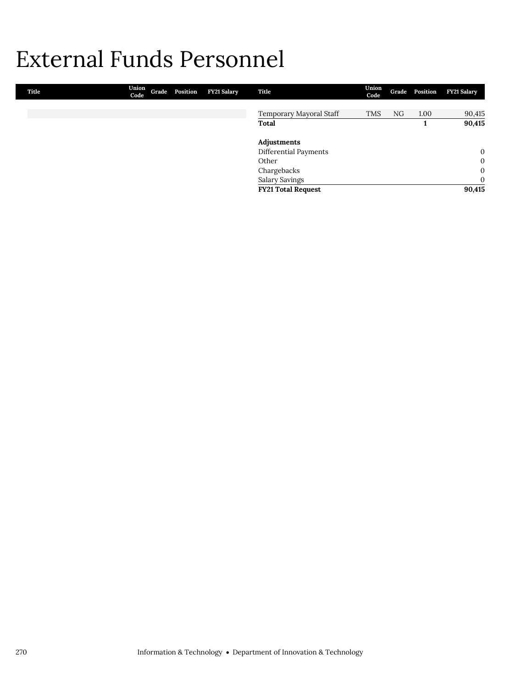## External Funds Personnel

| Title | Union<br>Code | Grade Position | FY21 Salary | Title                     | Union<br>Code |    | Grade Position | <b>FY21 Salary</b> |
|-------|---------------|----------------|-------------|---------------------------|---------------|----|----------------|--------------------|
|       |               |                |             |                           |               |    |                |                    |
|       |               |                |             | Temporary Mayoral Staff   | <b>TMS</b>    | NG | 1.00           | 90,415             |
|       |               |                |             | Total                     |               |    |                | 90,415             |
|       |               |                |             | Adjustments               |               |    |                |                    |
|       |               |                |             | Differential Payments     |               |    |                | $\mathbf{0}$       |
|       |               |                |             | Other                     |               |    |                | $\mathbf{0}$       |
|       |               |                |             | Chargebacks               |               |    |                | $\mathbf{0}$       |
|       |               |                |             | <b>Salary Savings</b>     |               |    |                | $\mathbf{0}$       |
|       |               |                |             | <b>FY21 Total Request</b> |               |    |                | 90,415             |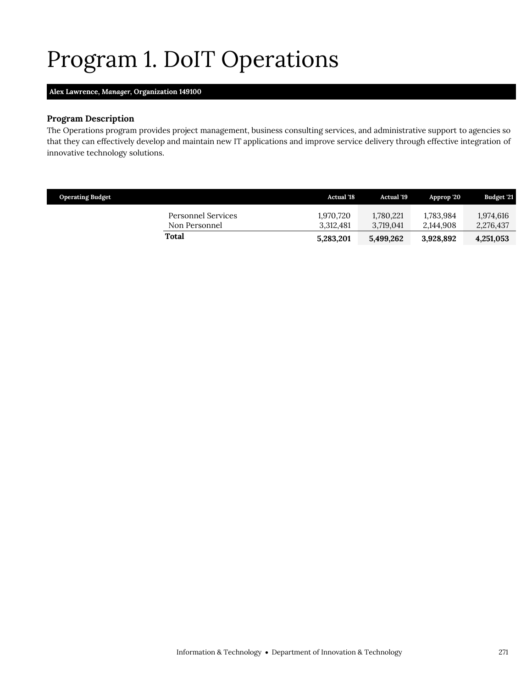# <span id="page-10-0"></span>Program 1. DoIT Operations

### **Alex Lawrence,** *Manager,* **Organization 149100**

### **Program Description**

The Operations program provides project management, business consulting services, and administrative support to agencies so that they can effectively develop and maintain new IT applications and improve service delivery through effective integration of innovative technology solutions.

| <b>Operating Budget</b> |                                     | Actual '18             | <b>Actual</b> '19      | Approp '20             | <b>Budget '21</b>      |
|-------------------------|-------------------------------------|------------------------|------------------------|------------------------|------------------------|
|                         | Personnel Services<br>Non Personnel | 1.970.720<br>3.312.481 | 1,780,221<br>3.719.041 | 1.783.984<br>2.144.908 | 1.974.616<br>2,276,437 |
|                         | Total                               | 5,283,201              | 5,499,262              | 3,928,892              | 4,251,053              |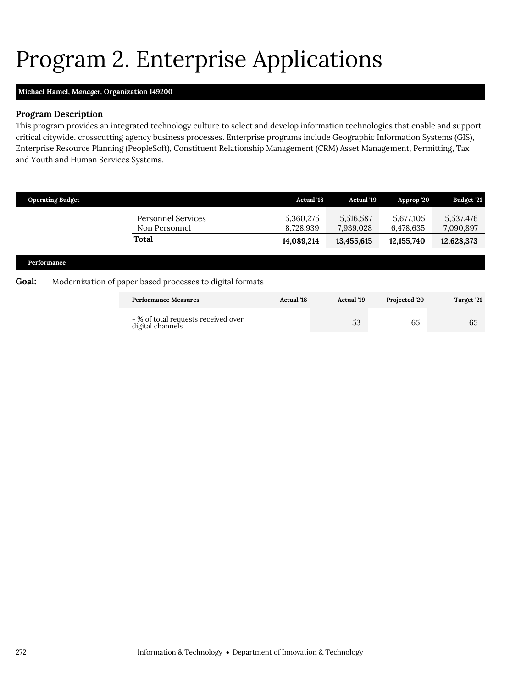# <span id="page-11-0"></span>Program 2. Enterprise Applications

### **Michael Hamel,** *Manager,* **Organization 149200**

### **Program Description**

This program provides an integrated technology culture to select and develop information technologies that enable and support critical citywide, crosscutting agency business processes. Enterprise programs include Geographic Information Systems (GIS), Enterprise Resource Planning (PeopleSoft), Constituent Relationship Management (CRM) Asset Management, Permitting, Tax and Youth and Human Services Systems.

|       | <b>Operating Budget</b> |                                                           | <b>Actual 18</b>       | <b>Actual '19</b>      | Approp '20             | Budget '21             |
|-------|-------------------------|-----------------------------------------------------------|------------------------|------------------------|------------------------|------------------------|
|       |                         | <b>Personnel Services</b><br>Non Personnel                | 5,360,275<br>8,728,939 | 5,516,587<br>7,939,028 | 5,677,105<br>6,478,635 | 5,537,476<br>7,090,897 |
|       |                         | <b>Total</b>                                              | 14,089,214             | 13,455,615             | 12,155,740             | 12,628,373             |
|       | Performance             |                                                           |                        |                        |                        |                        |
| Goal: |                         | Modernization of paper based processes to digital formats |                        |                        |                        |                        |
|       |                         | <b>Performance Measures</b>                               | <b>Actual</b> '18      | <b>Actual</b> '19      | Projected '20          | Target '21             |
|       |                         | - % of total requests received over<br>digital channels   |                        | 53                     | 65                     | 65                     |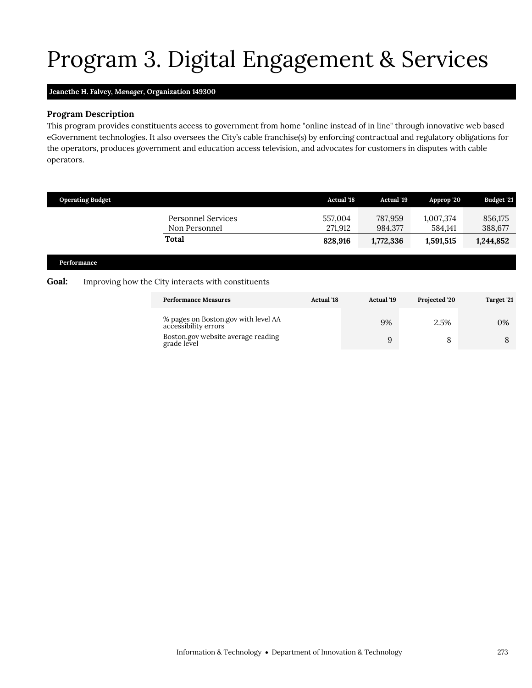# Program 3. Digital Engagement & Services

## **Jeanethe H. Falvey,** *Manager,* **Organization 149300**

### **Program Description**

This program provides constituents access to government from home "online instead of in line" through innovative web based eGovernment technologies. It also oversees the City's cable franchise(s) by enforcing contractual and regulatory obligations for the operators, produces government and education access television, and advocates for customers in disputes with cable operators.

|       | <b>Operating Budget</b> |                                                    | <b>Actual '18</b>             | Actual '19                      | Approp '20                        | Budget '21                      |
|-------|-------------------------|----------------------------------------------------|-------------------------------|---------------------------------|-----------------------------------|---------------------------------|
|       | Performance             | Personnel Services<br>Non Personnel<br>Total       | 557.004<br>271,912<br>828,916 | 787,959<br>984,377<br>1,772,336 | 1,007,374<br>584,141<br>1,591,515 | 856,175<br>388,677<br>1,244,852 |
| Goal: |                         | Improving how the City interacts with constituents |                               |                                 |                                   |                                 |
|       |                         | <b>Performance Measures</b>                        | <b>Actual</b> '18             | <b>Actual</b> '19               | Projected '20                     | Target '21                      |

<span id="page-12-0"></span>

| % pages on Boston.gov with level AA<br>accessibility errors | 9% | 2.5% | 0% |
|-------------------------------------------------------------|----|------|----|
| Boston.gov website average reading<br>grade level           | u  |      |    |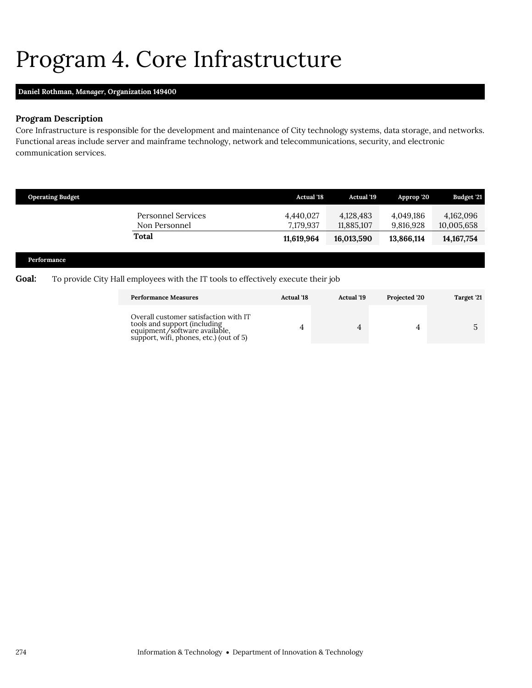## <span id="page-13-0"></span>Program 4. Core Infrastructure

### **Daniel Rothman,** *Manager,* **Organization 149400**

### **Program Description**

Core Infrastructure is responsible for the development and maintenance of City technology systems, data storage, and networks. Functional areas include server and mainframe technology, network and telecommunications, security, and electronic communication services.

| <b>Operating Budget</b>             | <b>Actual</b> '18      | <b>Actual '19</b>       | Approp '20             | <b>Budget '21</b>       |
|-------------------------------------|------------------------|-------------------------|------------------------|-------------------------|
| Personnel Services<br>Non Personnel | 4.440.027<br>7.179.937 | 4,128,483<br>11,885,107 | 4.049.186<br>9,816,928 | 4,162,096<br>10,005,658 |
| Total                               | 11,619,964             | 16,013,590              | 13,866,114             | 14, 167, 754            |

### **Performance**

### Goal: To provide City Hall employees with the IT tools to effectively execute their job

| <b>Performance Measures</b>                                                                                                                       | <b>Actual</b> '18 | Actual '19 | Projected '20 | Target '21 |
|---------------------------------------------------------------------------------------------------------------------------------------------------|-------------------|------------|---------------|------------|
| Overall customer satisfaction with IT<br>tools and support (including<br>equipment/software available,<br>support, wifi, phones, etc.) (out of 5) |                   |            |               |            |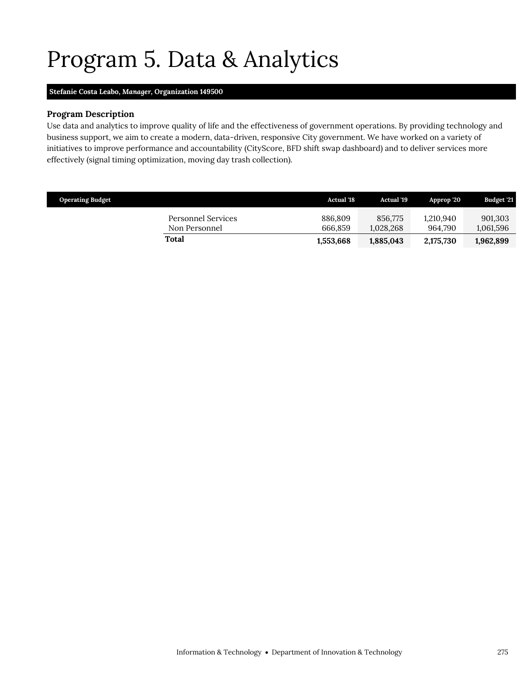# <span id="page-14-0"></span>Program 5. Data & Analytics

### **Stefanie Costa Leabo,** *Manager,* **Organization 149500**

### **Program Description**

Use data and analytics to improve quality of life and the effectiveness of government operations. By providing technology and business support, we aim to create a modern, data-driven, responsive City government. We have worked on a variety of initiatives to improve performance and accountability (CityScore, BFD shift swap dashboard) and to deliver services more effectively (signal timing optimization, moving day trash collection).

| <b>Operating Budget</b>             | <b>Actual</b> '18  | <b>Actual</b> '19    | Approp '20           | <b>Budget '21</b>    |
|-------------------------------------|--------------------|----------------------|----------------------|----------------------|
| Personnel Services<br>Non Personnel | 886,809<br>666.859 | 856.775<br>1.028.268 | 1.210.940<br>964.790 | 901,303<br>1,061,596 |
| Total                               | 1,553,668          | 1,885,043            | 2,175,730            | 1,962,899            |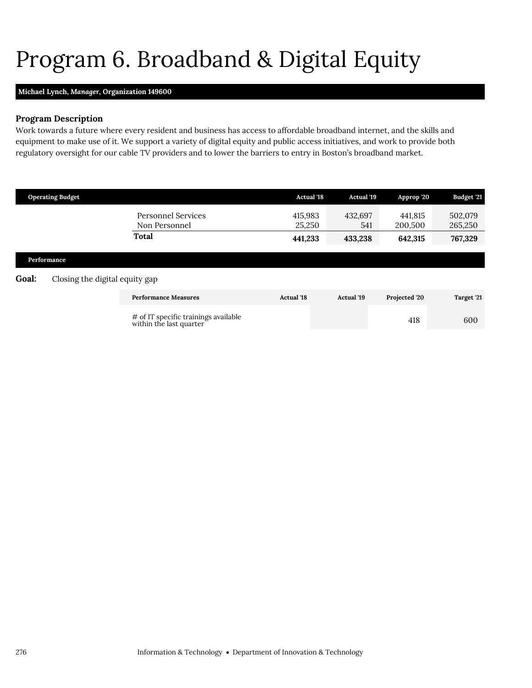# <span id="page-15-0"></span>Program 6. Broadband & Digital Equity

### **Michael Lynch,** *Manager,* **Organization 149600**

### **Program Description**

Work towards a future where every resident and business has access to affordable broadband internet, and the skills and equipment to make use of it. We support a variety of digital equity and public access initiatives, and work to provide both regulatory oversight for our cable TV providers and to lower the barriers to entry in Boston's broadband market.

|       | <b>Operating Budget</b>        |                                                                 | <b>Actual 18</b>  | Actual '19        | Approp '20         | Budget '21         |
|-------|--------------------------------|-----------------------------------------------------------------|-------------------|-------------------|--------------------|--------------------|
|       |                                | <b>Personnel Services</b><br>Non Personnel                      | 415,983<br>25,250 | 432,697<br>541    | 441,815<br>200,500 | 502,079<br>265,250 |
|       |                                | <b>Total</b>                                                    | 441,233           | 433,238           | 642,315            | 767,329            |
|       | Performance                    |                                                                 |                   |                   |                    |                    |
| Goal: | Closing the digital equity gap |                                                                 |                   |                   |                    |                    |
|       |                                | <b>Performance Measures</b>                                     | <b>Actual '18</b> | <b>Actual</b> '19 | Projected '20      | Target '21         |
|       |                                | # of IT specific trainings available<br>within the last quarter |                   |                   | 418                | 600                |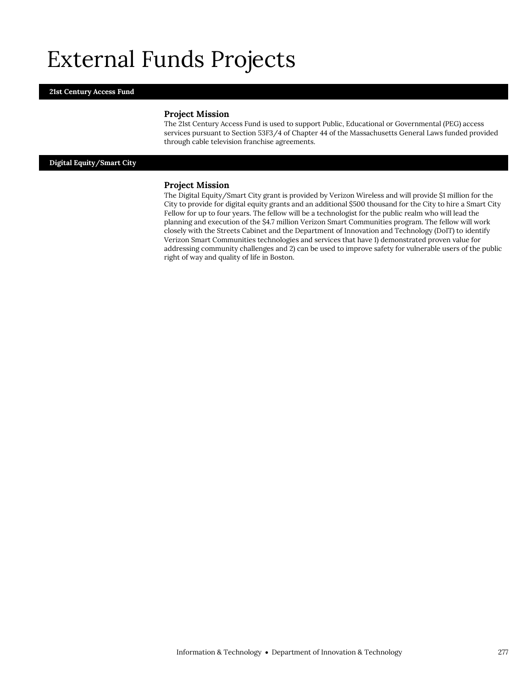## External Funds Projects

### **21st Century Access Fund**

#### **Project Mission**

The 21st Century Access Fund is used to support Public, Educational or Governmental (PEG) access services pursuant to Section 53F3/4 of Chapter 44 of the Massachusetts General Laws funded provided through cable television franchise agreements.

**Digital Equity/Smart City**

#### **Project Mission**

The Digital Equity/Smart City grant is provided by Verizon Wireless and will provide \$1 million for the City to provide for digital equity grants and an additional \$500 thousand for the City to hire a Smart City Fellow for up to four years. The fellow will be a technologist for the public realm who will lead the planning and execution of the \$4.7 million Verizon Smart Communities program. The fellow will work closely with the Streets Cabinet and the Department of Innovation and Technology (DoIT) to identify Verizon Smart Communities technologies and services that have 1) demonstrated proven value for addressing community challenges and 2) can be used to improve safety for vulnerable users of the public right of way and quality of life in Boston.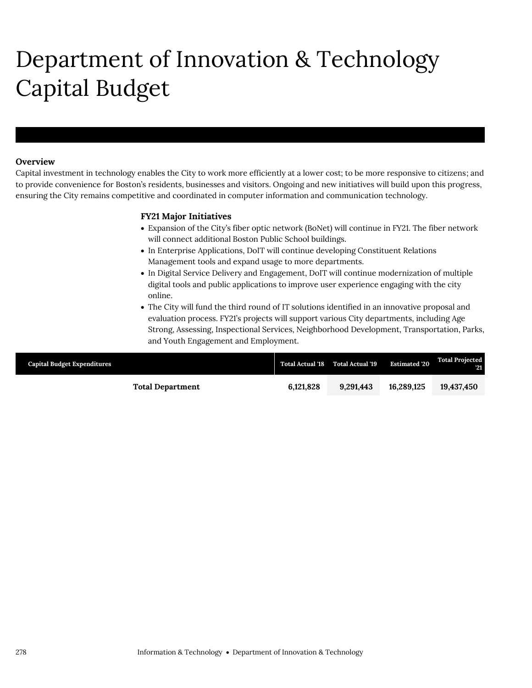# Department of Innovation & Technology Capital Budget

### **Overview**

Department of Innovation & Technology

Capital investment in technology enables the City to work more efficiently at a lower cost; to be more responsive to citizens; and to provide convenience for Boston's residents, businesses and visitors. Ongoing and new initiatives will build upon this progress, ensuring the City remains competitive and coordinated in computer information and communication technology.

### **FY21 Major Initiatives**

- Expansion of the City's fiber optic network (BoNet) will continue in FY21. The fiber network will connect additional Boston Public School buildings.
- In Enterprise Applications, DoIT will continue developing Constituent Relations Management tools and expand usage to more departments.
- In Digital Service Delivery and Engagement, DoIT will continue modernization of multiple digital tools and public applications to improve user experience engaging with the city online.
- The City will fund the third round of IT solutions identified in an innovative proposal and evaluation process. FY21's projects will support various City departments, including Age Strong, Assessing, Inspectional Services, Neighborhood Development, Transportation, Parks, and Youth Engagement and Employment.

| <b>Capital Budget Expenditures</b> |                         |           | Total Actual '18 Total Actual '19 | <b>Estimated 20</b> | <b>Total Projected</b><br>21 |
|------------------------------------|-------------------------|-----------|-----------------------------------|---------------------|------------------------------|
|                                    | <b>Total Department</b> | 6.121.828 | 9.291.443                         | 16.289.125          | 19,437,450                   |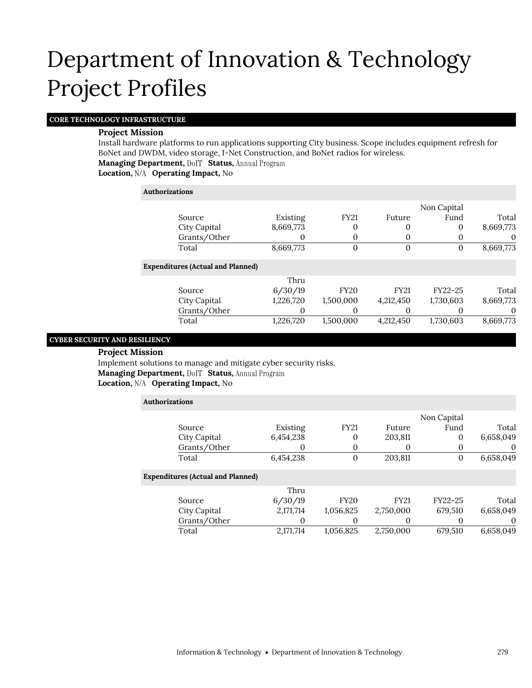### **CORE TECHNOLOGY INFRASTRUCTURE**

### **Project Mission**

Install hardware platforms to run applications supporting City business. Scope includes equipment refresh for BoNet and DWDM, video storage, I-Net Construction, and BoNet radios for wireless.

**Managing Department, DolT Status, Annual Program** 

**Location, Operating Impact,** No

**Contract Contract** 

| Authorizations                           |           |                   |             |             |           |
|------------------------------------------|-----------|-------------------|-------------|-------------|-----------|
|                                          |           |                   |             | Non Capital |           |
| Source                                   | Existing  | <b>FY21</b>       | Future      | Fund        | Total     |
| City Capital                             | 8,669,773 | 0                 | 0           | 0           | 8,669,773 |
| Grants/Other                             | O         | 0                 | 0           | 0           | 0         |
| Total                                    | 8,669,773 | 0                 | $\Omega$    | 0           | 8,669,773 |
| <b>Expenditures (Actual and Planned)</b> |           |                   |             |             |           |
|                                          | Thru      |                   |             |             |           |
| Source                                   | 6/30/19   | <b>FY20</b>       | <b>FY21</b> | FY22-25     | Total     |
| City Capital                             | 1,226,720 | 1,500,000         | 4,212,450   | 1,730,603   | 8,669,773 |
| Grants/Other                             | $\Omega$  | $\mathbf{\Omega}$ | $\theta$    | $\Omega$    | O         |
| Total                                    | 1,226,720 | 1,500,000         | 4,212,450   | 1,730,603   | 8,669,773 |
|                                          |           |                   |             |             |           |

### **CYBER SECURITY AND RESILIENCY**

### **Project Mission**

Implement solutions to manage and mitigate cyber security risks. **Managing Department, DolT Status, Annual Program Location, Operating Impact,** No

| <b>Authorizations</b>                    |           |             |             |             |           |
|------------------------------------------|-----------|-------------|-------------|-------------|-----------|
|                                          |           |             |             | Non Capital |           |
| Source                                   | Existing  | <b>FY21</b> | Future      | Fund        | Total     |
| City Capital                             | 6,454,238 | 0           | 203,811     | 0           | 6,658,049 |
| Grants/Other                             | O         | 0           |             |             | 0         |
| Total                                    | 6,454,238 | 0           | 203,811     | 0           | 6,658,049 |
| <b>Expenditures (Actual and Planned)</b> |           |             |             |             |           |
|                                          | Thru      |             |             |             |           |
| Source                                   | 6/30/19   | <b>FY20</b> | <b>FY21</b> | FY22-25     | Total     |
| City Capital                             | 2,171,714 | 1,056,825   | 2,750,000   | 679.510     | 6,658,049 |
| Grants/Other                             | 0         | 0           | 0           |             | 0         |
| Total                                    | 2,171,714 | 1.056.825   | 2.750.000   | 679.510     | 6,658,049 |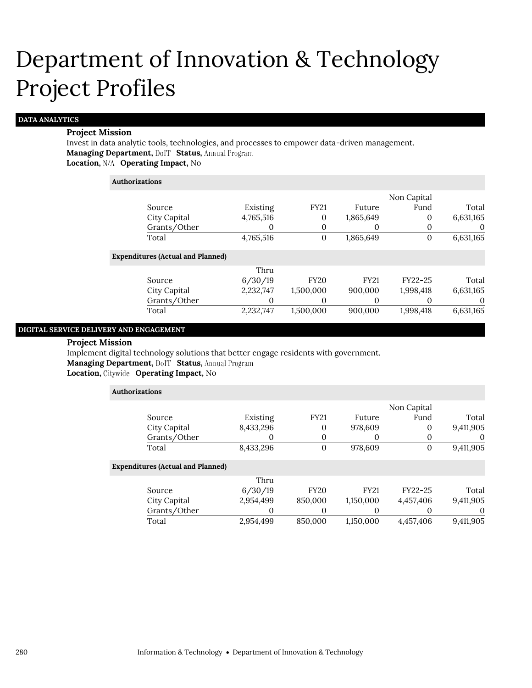### **DATA ANALYTICS**

#### **Project Mission**

Invest in data analytic tools, technologies, and processes to empower data-driven management. **Managing Department, DoIT Status, Annual Program Location, N/A Operating Impact, No** 

#### **Authorizations**

|                                |           |              |             | Non Capital |           |
|--------------------------------|-----------|--------------|-------------|-------------|-----------|
| Source                         | Existing  | <b>FY21</b>  | Future      | Fund        | Total     |
| City Capital                   | 4,765,516 | $\mathbf{0}$ | 1,865,649   | $\Omega$    | 6,631,165 |
| Grants/Other                   | 0         | $\Omega$     |             |             | $\theta$  |
| Total                          | 4,765,516 | $\mathbf{0}$ | 1,865,649   | $\Omega$    | 6,631,165 |
| enditures (Actual and Planned) |           |              |             |             |           |
|                                | Thru      |              |             |             |           |
| Source                         | 6/30/19   | <b>FY20</b>  | <b>FY21</b> | FY22-25     | Total     |
| City Capital                   | 2,232,747 | 1,500,000    | 900,000     | 1,998,418   | 6,631,165 |
| Grants/Other                   | 0         | 0            |             |             | $\Omega$  |
| Total                          | 2,232,747 | 1,500,000    | 900,000     | 1,998,418   | 6,631,165 |

#### **DIGITAL SERVICE DELIVERY AND ENGAGEMENT**

Exp

#### **Project Mission**

Implement digital technology solutions that better engage residents with government. **Managing Department, DolT Status, Annual Program** 

### **Location, Operating Impact,** No

| <b>Authorizations</b>                    |           |                |             |             |           |
|------------------------------------------|-----------|----------------|-------------|-------------|-----------|
|                                          |           |                |             | Non Capital |           |
| Source                                   | Existing  | <b>FY21</b>    | Future      | Fund        | Total     |
| City Capital                             | 8,433,296 | 0              | 978,609     | 0           | 9,411,905 |
| Grants/Other                             | O         | 0              | O           | $\Omega$    | $\theta$  |
| Total                                    | 8,433,296 | $\overline{0}$ | 978,609     | 0           | 9,411,905 |
| <b>Expenditures (Actual and Planned)</b> |           |                |             |             |           |
|                                          | Thru      |                |             |             |           |
| Source                                   | 6/30/19   | <b>FY20</b>    | <b>FY21</b> | FY22-25     | Total     |
| City Capital                             | 2,954,499 | 850,000        | 1,150,000   | 4,457,406   | 9,411,905 |
| Grants/Other                             | 0         |                |             | O           | 0         |
| Total                                    | 2,954,499 | 850,000        | 1,150,000   | 4,457,406   | 9,411,905 |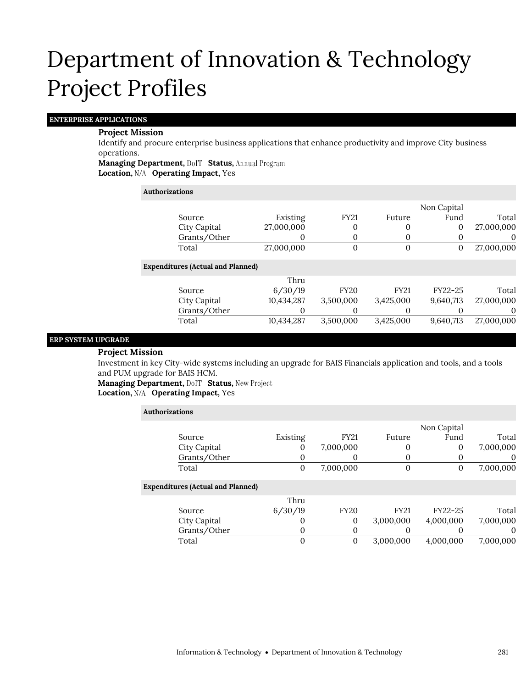### **ENTERPRISE APPLICATIONS**

### **Project Mission**

Identify and procure enterprise business applications that enhance productivity and improve City business operations.

**Managing Department, DolT Status, Annual Program** Location, N/A Operating Impact, Yes

| Authorizations |                                          |            |              |             |             |            |
|----------------|------------------------------------------|------------|--------------|-------------|-------------|------------|
|                |                                          |            |              |             | Non Capital |            |
|                | Source                                   | Existing   | <b>FY21</b>  | Future      | Fund        | Total      |
|                | City Capital                             | 27,000,000 | 0            | 0           | 0           | 27,000,000 |
|                | Grants/Other                             | O          | 0            | $\Omega$    | 0           | $\theta$   |
|                | Total                                    | 27,000,000 | $\mathbf{0}$ | $\Omega$    | 0           | 27,000,000 |
|                | <b>Expenditures (Actual and Planned)</b> |            |              |             |             |            |
|                |                                          | Thru       |              |             |             |            |
|                | Source                                   | 6/30/19    | <b>FY20</b>  | <b>FY21</b> | FY22-25     | Total      |
|                | City Capital                             | 10,434,287 | 3,500,000    | 3,425,000   | 9,640,713   | 27,000,000 |
|                | Grants/Other                             | O          | 0            | O           | O           | 0          |
|                | Total                                    | 10,434,287 | 3,500,000    | 3,425,000   | 9,640,713   | 27,000,000 |

### **ERP SYSTEM UPGRADE**

### **Project Mission**

Investment in key City-wide systems including an upgrade for BAIS Financials application and tools, and a tools and PUM upgrade for BAIS HCM.

**Managing Department, DoIT Status, New Project Location, Operating Impact,** Yes

| <b>Authorizations</b>                    |          |             |             |             |           |
|------------------------------------------|----------|-------------|-------------|-------------|-----------|
|                                          |          |             |             | Non Capital |           |
| Source                                   | Existing | <b>FY21</b> | Future      | Fund        | Total     |
| City Capital                             | U        | 7,000,000   | O           | 0           | 7,000,000 |
| Grants/Other                             | 0        | 0           | O           |             | 0         |
| Total                                    | 0        | 7,000,000   | $\Omega$    | 0           | 7,000,000 |
| <b>Expenditures (Actual and Planned)</b> |          |             |             |             |           |
|                                          | Thru     |             |             |             |           |
| Source                                   | 6/30/19  | <b>FY20</b> | <b>FY21</b> | FY22-25     | Total     |
| City Capital                             | O        | 0           | 3,000,000   | 4,000,000   | 7,000,000 |
| Grants/Other                             | 0        | 0           |             | O           | 0         |
| Total                                    | 0        | 0           | 3.000.000   | 4,000,000   | 7,000,000 |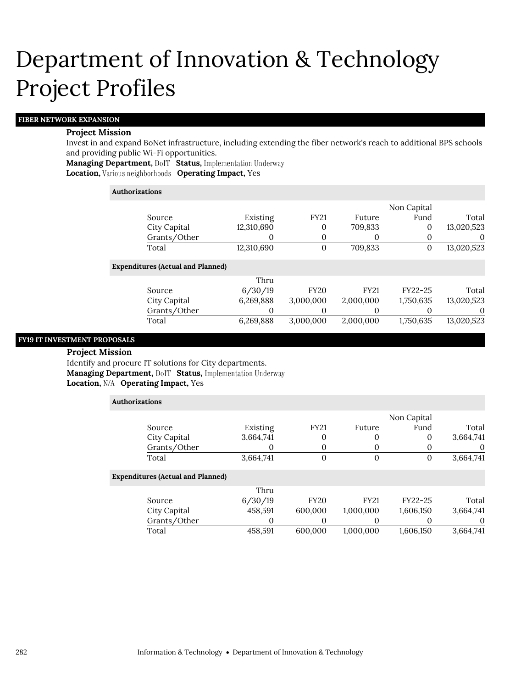### **FIBER NETWORK EXPANSION**

#### **Project Mission**

Invest in and expand BoNet infrastructure, including extending the fiber network's reach to additional BPS schools and providing public Wi-Fi opportunities.

**Managing Department, DolT Status, Implementation Underway Location, Various neighborhoods Operating Impact, Yes** 

#### **Authorizations**

|                                          |            |                |             | Non Capital |            |
|------------------------------------------|------------|----------------|-------------|-------------|------------|
| Source                                   | Existing   | <b>FY21</b>    | Future      | Fund        | Total      |
| City Capital                             | 12,310,690 | $\mathbf{0}$   | 709,833     | 0           | 13,020,523 |
| Grants/Other                             | $\Omega$   | $\mathbf{0}$   | $\theta$    | 0           | $\theta$   |
| Total                                    | 12,310,690 | $\overline{0}$ | 709,833     | 0           | 13,020,523 |
| <b>Expenditures (Actual and Planned)</b> |            |                |             |             |            |
|                                          | Thru       |                |             |             |            |
| Source                                   | 6/30/19    | <b>FY20</b>    | <b>FY21</b> | FY22-25     | Total      |
| City Capital                             | 6,269,888  | 3,000,000      | 2,000,000   | 1,750,635   | 13,020,523 |
| Grants/Other                             |            | $\Omega$       | $\Omega$    |             | $\theta$   |
| Total                                    | 6,269,888  | 3,000,000      | 2,000,000   | 1,750,635   | 13,020,523 |
|                                          |            |                |             |             |            |

### **FY19 IT INVESTMENT PROPOSALS**

**Project Mission** Identify and procure IT solutions for City departments. **Managing Department, DoIT Status, Implementation Underway Location, Operating Impact,** Yes

| <b>Authorizations</b>                    |           |             |             |              |           |  |
|------------------------------------------|-----------|-------------|-------------|--------------|-----------|--|
|                                          |           |             |             | Non Capital  |           |  |
| Source                                   | Existing  | <b>FY21</b> | Future      | Fund         | Total     |  |
| City Capital                             | 3,664,741 | 0           | $\theta$    | $\mathbf{0}$ | 3,664,741 |  |
| Grants/Other                             |           | 0           | $\theta$    | $\Omega$     | $\theta$  |  |
| Total                                    | 3,664,741 | 0           | $\Omega$    | 0            | 3,664,741 |  |
| <b>Expenditures (Actual and Planned)</b> |           |             |             |              |           |  |
|                                          | Thru      |             |             |              |           |  |
| Source                                   | 6/30/19   | <b>FY20</b> | <b>FY21</b> | FY22-25      | Total     |  |
| City Capital                             | 458,591   | 600,000     | 1,000,000   | 1,606,150    | 3,664,741 |  |
| Grants/Other                             | 0         | 0           | $\theta$    | $\Omega$     | $\theta$  |  |
| Total                                    | 458,591   | 600.000     | 1.000.000   | 1,606,150    | 3.664.741 |  |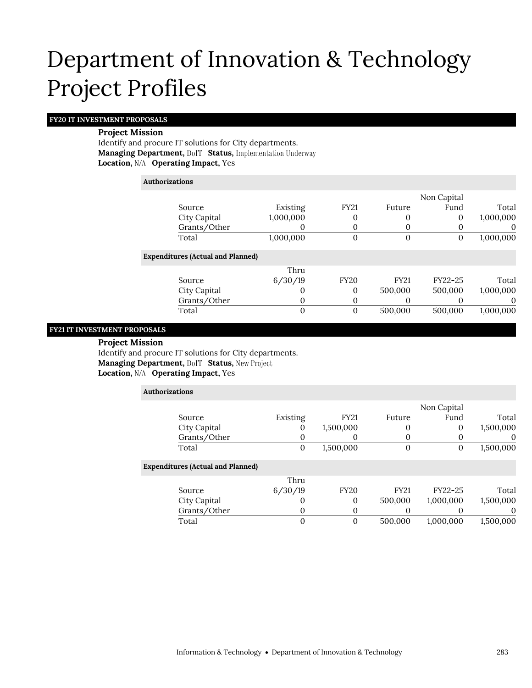### **FY20 IT INVESTMENT PROPOSALS**

### **Project Mission**

Identify and procure IT solutions for City departments. **Managing Department, DolT Status, Implementation Underway Location, Operating Impact,** Yes

### **Authorizations**

|                                          |           |                |             | Non Capital |             |
|------------------------------------------|-----------|----------------|-------------|-------------|-------------|
| Source                                   | Existing  | <b>FY21</b>    | Future      | Fund        | Total       |
| City Capital                             | 1,000,000 | 0              |             | 0           | 1,000,000   |
| Grants/Other                             |           | 0              |             | $\theta$    | O           |
| Total                                    | 1,000,000 | $\overline{0}$ | $\Omega$    | 0           | 1,000,000   |
| <b>Expenditures (Actual and Planned)</b> |           |                |             |             |             |
|                                          | Thru      |                |             |             |             |
| Source                                   | 6/30/19   | <b>FY20</b>    | <b>FY21</b> | FY22-25     | Total       |
| City Capital                             |           | $\Omega$       | 500,000     | 500,000     | 1,000,000   |
| Grants/Other                             | 0         | 0              |             |             | $\mathbf 0$ |
| Total                                    | 0         | $\overline{0}$ | 500,000     | 500,000     | 1,000,000   |
|                                          |           |                |             |             |             |

### **FY21 IT INVESTMENT PROPOSALS**

**Project Mission**

Identify and procure IT solutions for City departments. **Managing Department, DoIT Status, New Project Location, Operating Impact,** Yes

| Authorizations |                                          |          |             |              |             |           |
|----------------|------------------------------------------|----------|-------------|--------------|-------------|-----------|
|                |                                          |          |             |              | Non Capital |           |
|                | Source                                   | Existing | <b>FY21</b> | Future       | Fund        | Total     |
|                | City Capital                             | 0        | 1,500,000   | 0            | 0           | 1,500,000 |
|                | Grants/Other                             | 0        | 0           | 0            |             | $\theta$  |
|                | Total                                    | $\theta$ | 1,500,000   | $\mathbf{0}$ | 0           | 1,500,000 |
|                | <b>Expenditures (Actual and Planned)</b> |          |             |              |             |           |
|                |                                          | Thru     |             |              |             |           |
|                | Source                                   | 6/30/19  | <b>FY20</b> | <b>FY21</b>  | FY22-25     | Total     |
|                | City Capital                             | O        | 0           | 500,000      | 1,000,000   | 1,500,000 |
|                | Grants/Other                             | 0        | 0           |              |             | 0         |
|                | Total                                    | $\Omega$ | $\theta$    | 500,000      | 1,000,000   | 1,500,000 |